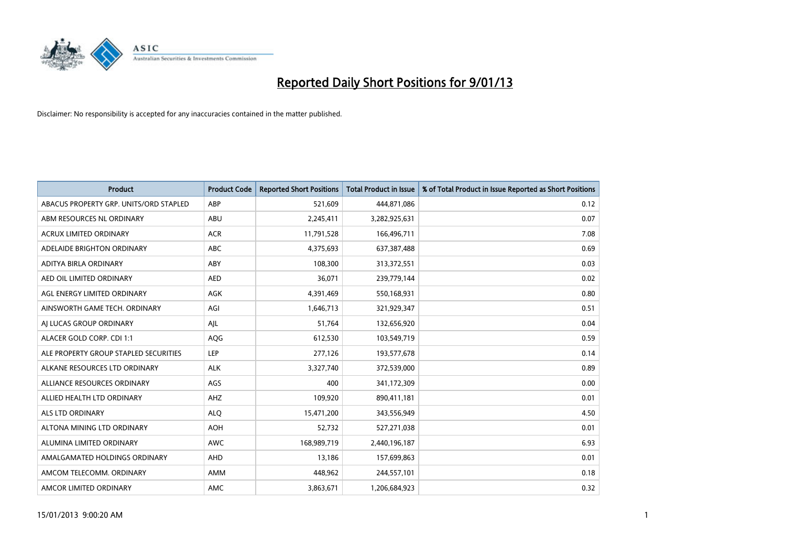

| Product                                | <b>Product Code</b> | <b>Reported Short Positions</b> | <b>Total Product in Issue</b> | % of Total Product in Issue Reported as Short Positions |
|----------------------------------------|---------------------|---------------------------------|-------------------------------|---------------------------------------------------------|
| ABACUS PROPERTY GRP. UNITS/ORD STAPLED | ABP                 | 521,609                         | 444,871,086                   | 0.12                                                    |
| ABM RESOURCES NL ORDINARY              | ABU                 | 2,245,411                       | 3,282,925,631                 | 0.07                                                    |
| <b>ACRUX LIMITED ORDINARY</b>          | <b>ACR</b>          | 11,791,528                      | 166,496,711                   | 7.08                                                    |
| ADELAIDE BRIGHTON ORDINARY             | <b>ABC</b>          | 4,375,693                       | 637,387,488                   | 0.69                                                    |
| ADITYA BIRLA ORDINARY                  | ABY                 | 108.300                         | 313,372,551                   | 0.03                                                    |
| AED OIL LIMITED ORDINARY               | <b>AED</b>          | 36,071                          | 239,779,144                   | 0.02                                                    |
| AGL ENERGY LIMITED ORDINARY            | AGK                 | 4,391,469                       | 550,168,931                   | 0.80                                                    |
| AINSWORTH GAME TECH. ORDINARY          | AGI                 | 1,646,713                       | 321,929,347                   | 0.51                                                    |
| AI LUCAS GROUP ORDINARY                | AJL                 | 51,764                          | 132,656,920                   | 0.04                                                    |
| ALACER GOLD CORP. CDI 1:1              | AQG                 | 612,530                         | 103,549,719                   | 0.59                                                    |
| ALE PROPERTY GROUP STAPLED SECURITIES  | <b>LEP</b>          | 277,126                         | 193,577,678                   | 0.14                                                    |
| ALKANE RESOURCES LTD ORDINARY          | <b>ALK</b>          | 3,327,740                       | 372,539,000                   | 0.89                                                    |
| ALLIANCE RESOURCES ORDINARY            | AGS                 | 400                             | 341,172,309                   | 0.00                                                    |
| ALLIED HEALTH LTD ORDINARY             | AHZ                 | 109.920                         | 890,411,181                   | 0.01                                                    |
| ALS LTD ORDINARY                       | <b>ALO</b>          | 15,471,200                      | 343,556,949                   | 4.50                                                    |
| ALTONA MINING LTD ORDINARY             | <b>AOH</b>          | 52,732                          | 527,271,038                   | 0.01                                                    |
| ALUMINA LIMITED ORDINARY               | <b>AWC</b>          | 168,989,719                     | 2,440,196,187                 | 6.93                                                    |
| AMALGAMATED HOLDINGS ORDINARY          | <b>AHD</b>          | 13,186                          | 157,699,863                   | 0.01                                                    |
| AMCOM TELECOMM. ORDINARY               | AMM                 | 448,962                         | 244,557,101                   | 0.18                                                    |
| AMCOR LIMITED ORDINARY                 | <b>AMC</b>          | 3,863,671                       | 1,206,684,923                 | 0.32                                                    |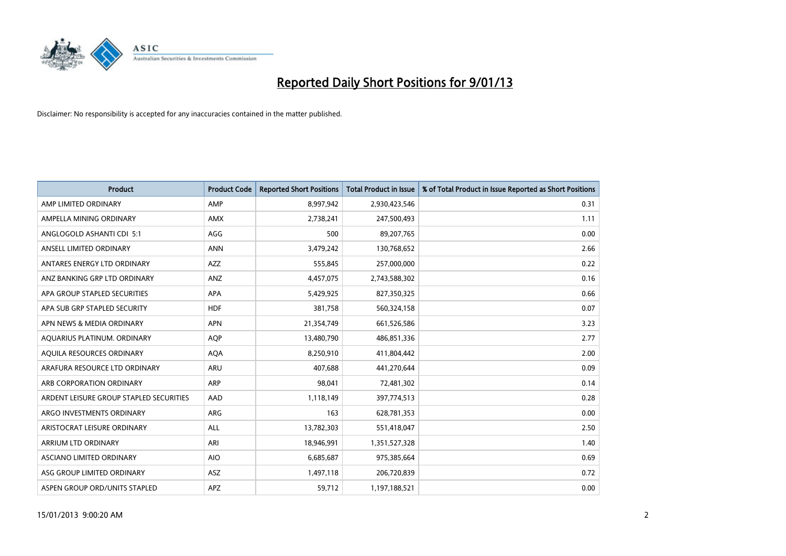

| <b>Product</b>                          | <b>Product Code</b> | <b>Reported Short Positions</b> | <b>Total Product in Issue</b> | % of Total Product in Issue Reported as Short Positions |
|-----------------------------------------|---------------------|---------------------------------|-------------------------------|---------------------------------------------------------|
| AMP LIMITED ORDINARY                    | AMP                 | 8,997,942                       | 2,930,423,546                 | 0.31                                                    |
| AMPELLA MINING ORDINARY                 | <b>AMX</b>          | 2,738,241                       | 247,500,493                   | 1.11                                                    |
| ANGLOGOLD ASHANTI CDI 5:1               | AGG                 | 500                             | 89,207,765                    | 0.00                                                    |
| ANSELL LIMITED ORDINARY                 | <b>ANN</b>          | 3,479,242                       | 130,768,652                   | 2.66                                                    |
| ANTARES ENERGY LTD ORDINARY             | AZZ                 | 555,845                         | 257,000,000                   | 0.22                                                    |
| ANZ BANKING GRP LTD ORDINARY            | ANZ                 | 4,457,075                       | 2,743,588,302                 | 0.16                                                    |
| APA GROUP STAPLED SECURITIES            | <b>APA</b>          | 5,429,925                       | 827,350,325                   | 0.66                                                    |
| APA SUB GRP STAPLED SECURITY            | <b>HDF</b>          | 381,758                         | 560,324,158                   | 0.07                                                    |
| APN NEWS & MEDIA ORDINARY               | <b>APN</b>          | 21,354,749                      | 661,526,586                   | 3.23                                                    |
| AQUARIUS PLATINUM. ORDINARY             | <b>AOP</b>          | 13,480,790                      | 486,851,336                   | 2.77                                                    |
| AQUILA RESOURCES ORDINARY               | <b>AQA</b>          | 8,250,910                       | 411,804,442                   | 2.00                                                    |
| ARAFURA RESOURCE LTD ORDINARY           | <b>ARU</b>          | 407,688                         | 441,270,644                   | 0.09                                                    |
| ARB CORPORATION ORDINARY                | ARP                 | 98,041                          | 72,481,302                    | 0.14                                                    |
| ARDENT LEISURE GROUP STAPLED SECURITIES | AAD                 | 1,118,149                       | 397,774,513                   | 0.28                                                    |
| ARGO INVESTMENTS ORDINARY               | ARG                 | 163                             | 628,781,353                   | 0.00                                                    |
| ARISTOCRAT LEISURE ORDINARY             | <b>ALL</b>          | 13,782,303                      | 551,418,047                   | 2.50                                                    |
| <b>ARRIUM LTD ORDINARY</b>              | ARI                 | 18,946,991                      | 1,351,527,328                 | 1.40                                                    |
| ASCIANO LIMITED ORDINARY                | <b>AIO</b>          | 6,685,687                       | 975,385,664                   | 0.69                                                    |
| ASG GROUP LIMITED ORDINARY              | <b>ASZ</b>          | 1,497,118                       | 206,720,839                   | 0.72                                                    |
| ASPEN GROUP ORD/UNITS STAPLED           | <b>APZ</b>          | 59,712                          | 1,197,188,521                 | 0.00                                                    |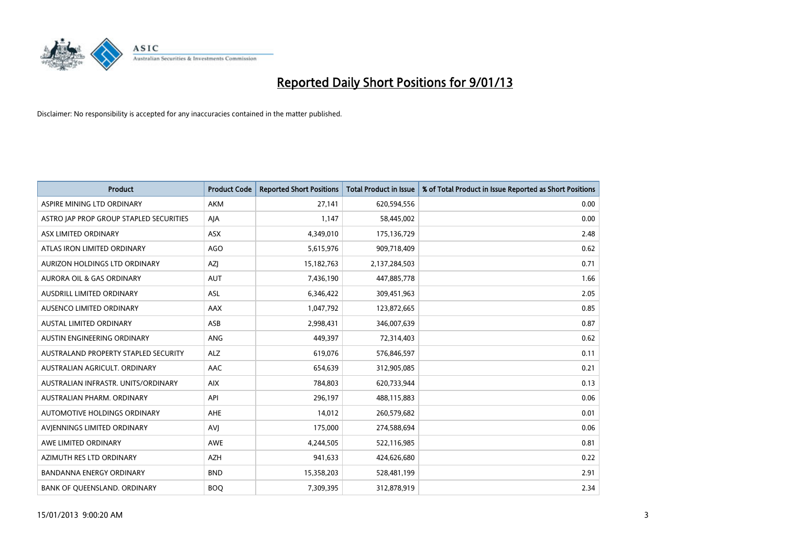

| <b>Product</b>                          | <b>Product Code</b> | <b>Reported Short Positions</b> | <b>Total Product in Issue</b> | % of Total Product in Issue Reported as Short Positions |
|-----------------------------------------|---------------------|---------------------------------|-------------------------------|---------------------------------------------------------|
| ASPIRE MINING LTD ORDINARY              | <b>AKM</b>          | 27,141                          | 620,594,556                   | 0.00                                                    |
| ASTRO JAP PROP GROUP STAPLED SECURITIES | AJA                 | 1.147                           | 58,445,002                    | 0.00                                                    |
| ASX LIMITED ORDINARY                    | ASX                 | 4,349,010                       | 175,136,729                   | 2.48                                                    |
| ATLAS IRON LIMITED ORDINARY             | AGO                 | 5,615,976                       | 909,718,409                   | 0.62                                                    |
| AURIZON HOLDINGS LTD ORDINARY           | <b>AZI</b>          | 15, 182, 763                    | 2,137,284,503                 | 0.71                                                    |
| <b>AURORA OIL &amp; GAS ORDINARY</b>    | <b>AUT</b>          | 7,436,190                       | 447,885,778                   | 1.66                                                    |
| <b>AUSDRILL LIMITED ORDINARY</b>        | <b>ASL</b>          | 6,346,422                       | 309,451,963                   | 2.05                                                    |
| <b>AUSENCO LIMITED ORDINARY</b>         | AAX                 | 1,047,792                       | 123,872,665                   | 0.85                                                    |
| AUSTAL LIMITED ORDINARY                 | ASB                 | 2,998,431                       | 346,007,639                   | 0.87                                                    |
| AUSTIN ENGINEERING ORDINARY             | ANG                 | 449,397                         | 72,314,403                    | 0.62                                                    |
| AUSTRALAND PROPERTY STAPLED SECURITY    | <b>ALZ</b>          | 619,076                         | 576,846,597                   | 0.11                                                    |
| AUSTRALIAN AGRICULT, ORDINARY           | AAC                 | 654,639                         | 312,905,085                   | 0.21                                                    |
| AUSTRALIAN INFRASTR, UNITS/ORDINARY     | <b>AIX</b>          | 784,803                         | 620,733,944                   | 0.13                                                    |
| AUSTRALIAN PHARM, ORDINARY              | API                 | 296,197                         | 488,115,883                   | 0.06                                                    |
| AUTOMOTIVE HOLDINGS ORDINARY            | AHE                 | 14,012                          | 260,579,682                   | 0.01                                                    |
| AVIENNINGS LIMITED ORDINARY             | AVI                 | 175,000                         | 274,588,694                   | 0.06                                                    |
| AWE LIMITED ORDINARY                    | <b>AWE</b>          | 4,244,505                       | 522,116,985                   | 0.81                                                    |
| AZIMUTH RES LTD ORDINARY                | <b>AZH</b>          | 941,633                         | 424,626,680                   | 0.22                                                    |
| <b>BANDANNA ENERGY ORDINARY</b>         | <b>BND</b>          | 15,358,203                      | 528,481,199                   | 2.91                                                    |
| BANK OF QUEENSLAND. ORDINARY            | <b>BOQ</b>          | 7.309.395                       | 312,878,919                   | 2.34                                                    |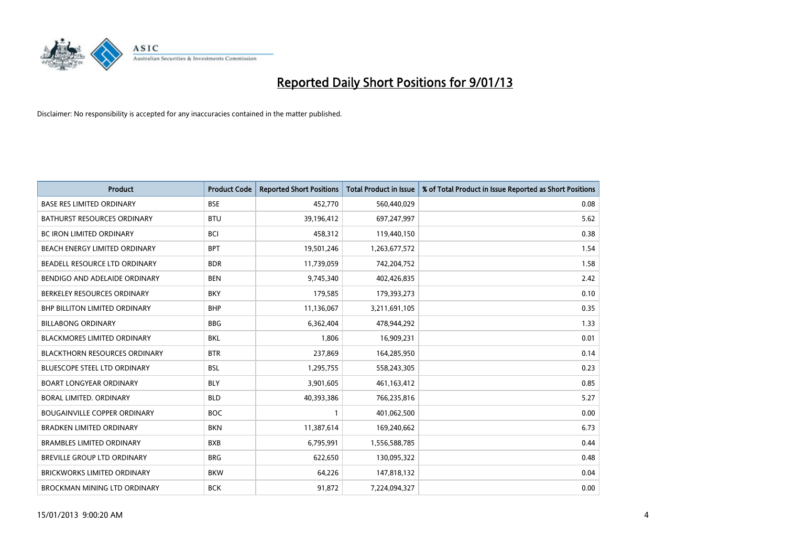

| Product                              | <b>Product Code</b> | <b>Reported Short Positions</b> | <b>Total Product in Issue</b> | % of Total Product in Issue Reported as Short Positions |
|--------------------------------------|---------------------|---------------------------------|-------------------------------|---------------------------------------------------------|
| <b>BASE RES LIMITED ORDINARY</b>     | <b>BSE</b>          | 452,770                         | 560,440,029                   | 0.08                                                    |
| BATHURST RESOURCES ORDINARY          | <b>BTU</b>          | 39,196,412                      | 697,247,997                   | 5.62                                                    |
| <b>BC IRON LIMITED ORDINARY</b>      | <b>BCI</b>          | 458,312                         | 119,440,150                   | 0.38                                                    |
| BEACH ENERGY LIMITED ORDINARY        | <b>BPT</b>          | 19,501,246                      | 1,263,677,572                 | 1.54                                                    |
| BEADELL RESOURCE LTD ORDINARY        | <b>BDR</b>          | 11,739,059                      | 742,204,752                   | 1.58                                                    |
| BENDIGO AND ADELAIDE ORDINARY        | <b>BEN</b>          | 9,745,340                       | 402,426,835                   | 2.42                                                    |
| BERKELEY RESOURCES ORDINARY          | <b>BKY</b>          | 179,585                         | 179,393,273                   | 0.10                                                    |
| <b>BHP BILLITON LIMITED ORDINARY</b> | <b>BHP</b>          | 11,136,067                      | 3,211,691,105                 | 0.35                                                    |
| <b>BILLABONG ORDINARY</b>            | <b>BBG</b>          | 6,362,404                       | 478,944,292                   | 1.33                                                    |
| <b>BLACKMORES LIMITED ORDINARY</b>   | <b>BKL</b>          | 1,806                           | 16,909,231                    | 0.01                                                    |
| BLACKTHORN RESOURCES ORDINARY        | <b>BTR</b>          | 237,869                         | 164,285,950                   | 0.14                                                    |
| <b>BLUESCOPE STEEL LTD ORDINARY</b>  | <b>BSL</b>          | 1,295,755                       | 558,243,305                   | 0.23                                                    |
| <b>BOART LONGYEAR ORDINARY</b>       | <b>BLY</b>          | 3,901,605                       | 461,163,412                   | 0.85                                                    |
| BORAL LIMITED, ORDINARY              | <b>BLD</b>          | 40,393,386                      | 766,235,816                   | 5.27                                                    |
| <b>BOUGAINVILLE COPPER ORDINARY</b>  | <b>BOC</b>          |                                 | 401,062,500                   | 0.00                                                    |
| BRADKEN LIMITED ORDINARY             | <b>BKN</b>          | 11,387,614                      | 169,240,662                   | 6.73                                                    |
| <b>BRAMBLES LIMITED ORDINARY</b>     | <b>BXB</b>          | 6,795,991                       | 1,556,588,785                 | 0.44                                                    |
| BREVILLE GROUP LTD ORDINARY          | <b>BRG</b>          | 622,650                         | 130,095,322                   | 0.48                                                    |
| <b>BRICKWORKS LIMITED ORDINARY</b>   | <b>BKW</b>          | 64,226                          | 147,818,132                   | 0.04                                                    |
| <b>BROCKMAN MINING LTD ORDINARY</b>  | <b>BCK</b>          | 91,872                          | 7,224,094,327                 | 0.00                                                    |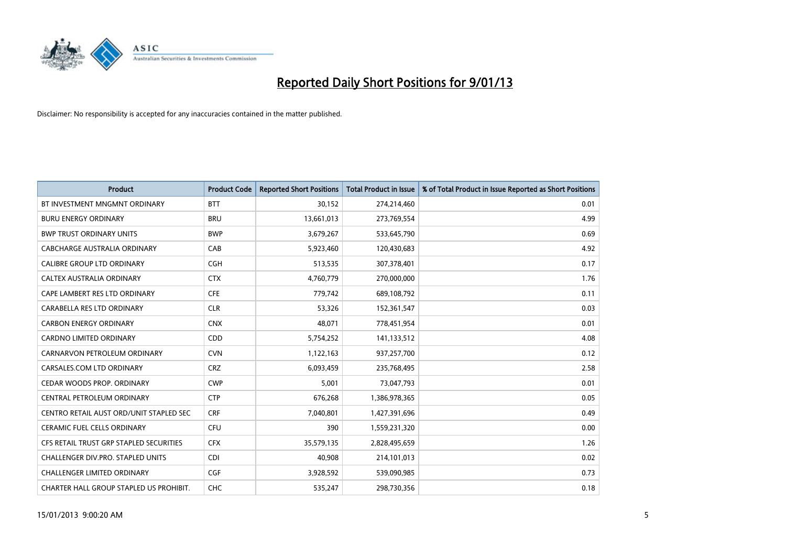

| Product                                 | <b>Product Code</b> | <b>Reported Short Positions</b> | <b>Total Product in Issue</b> | % of Total Product in Issue Reported as Short Positions |
|-----------------------------------------|---------------------|---------------------------------|-------------------------------|---------------------------------------------------------|
| BT INVESTMENT MNGMNT ORDINARY           | <b>BTT</b>          | 30,152                          | 274,214,460                   | 0.01                                                    |
| <b>BURU ENERGY ORDINARY</b>             | <b>BRU</b>          | 13,661,013                      | 273,769,554                   | 4.99                                                    |
| <b>BWP TRUST ORDINARY UNITS</b>         | <b>BWP</b>          | 3,679,267                       | 533,645,790                   | 0.69                                                    |
| CABCHARGE AUSTRALIA ORDINARY            | CAB                 | 5,923,460                       | 120,430,683                   | 4.92                                                    |
| <b>CALIBRE GROUP LTD ORDINARY</b>       | <b>CGH</b>          | 513,535                         | 307,378,401                   | 0.17                                                    |
| CALTEX AUSTRALIA ORDINARY               | <b>CTX</b>          | 4,760,779                       | 270,000,000                   | 1.76                                                    |
| CAPE LAMBERT RES LTD ORDINARY           | <b>CFE</b>          | 779,742                         | 689,108,792                   | 0.11                                                    |
| CARABELLA RES LTD ORDINARY              | <b>CLR</b>          | 53,326                          | 152,361,547                   | 0.03                                                    |
| <b>CARBON ENERGY ORDINARY</b>           | <b>CNX</b>          | 48,071                          | 778,451,954                   | 0.01                                                    |
| <b>CARDNO LIMITED ORDINARY</b>          | CDD                 | 5,754,252                       | 141,133,512                   | 4.08                                                    |
| CARNARVON PETROLEUM ORDINARY            | <b>CVN</b>          | 1,122,163                       | 937,257,700                   | 0.12                                                    |
| CARSALES.COM LTD ORDINARY               | <b>CRZ</b>          | 6,093,459                       | 235,768,495                   | 2.58                                                    |
| CEDAR WOODS PROP. ORDINARY              | <b>CWP</b>          | 5,001                           | 73,047,793                    | 0.01                                                    |
| CENTRAL PETROLEUM ORDINARY              | <b>CTP</b>          | 676,268                         | 1,386,978,365                 | 0.05                                                    |
| CENTRO RETAIL AUST ORD/UNIT STAPLED SEC | <b>CRF</b>          | 7,040,801                       | 1,427,391,696                 | 0.49                                                    |
| <b>CERAMIC FUEL CELLS ORDINARY</b>      | <b>CFU</b>          | 390                             | 1,559,231,320                 | 0.00                                                    |
| CFS RETAIL TRUST GRP STAPLED SECURITIES | <b>CFX</b>          | 35,579,135                      | 2,828,495,659                 | 1.26                                                    |
| CHALLENGER DIV.PRO. STAPLED UNITS       | <b>CDI</b>          | 40,908                          | 214,101,013                   | 0.02                                                    |
| <b>CHALLENGER LIMITED ORDINARY</b>      | <b>CGF</b>          | 3,928,592                       | 539,090,985                   | 0.73                                                    |
| CHARTER HALL GROUP STAPLED US PROHIBIT. | <b>CHC</b>          | 535,247                         | 298,730,356                   | 0.18                                                    |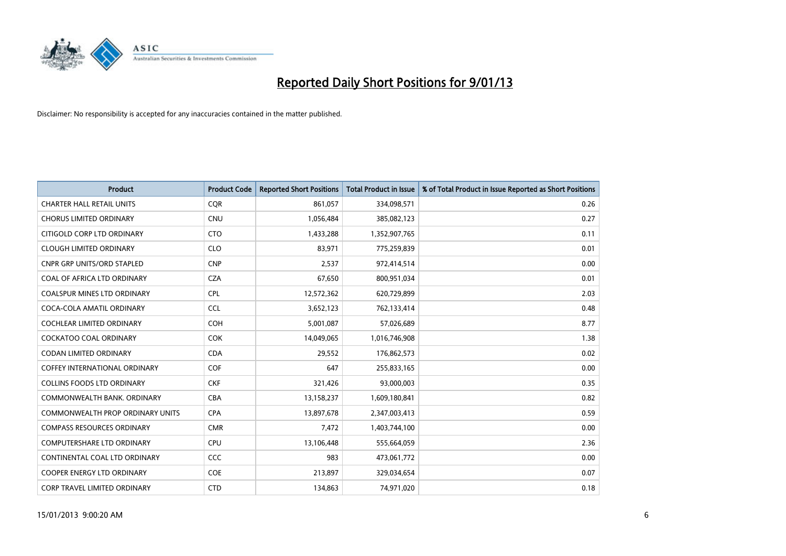

| Product                                 | <b>Product Code</b> | <b>Reported Short Positions</b> | <b>Total Product in Issue</b> | % of Total Product in Issue Reported as Short Positions |
|-----------------------------------------|---------------------|---------------------------------|-------------------------------|---------------------------------------------------------|
| <b>CHARTER HALL RETAIL UNITS</b>        | CQR                 | 861,057                         | 334,098,571                   | 0.26                                                    |
| <b>CHORUS LIMITED ORDINARY</b>          | <b>CNU</b>          | 1,056,484                       | 385,082,123                   | 0.27                                                    |
| CITIGOLD CORP LTD ORDINARY              | <b>CTO</b>          | 1,433,288                       | 1,352,907,765                 | 0.11                                                    |
| <b>CLOUGH LIMITED ORDINARY</b>          | <b>CLO</b>          | 83,971                          | 775,259,839                   | 0.01                                                    |
| <b>CNPR GRP UNITS/ORD STAPLED</b>       | <b>CNP</b>          | 2,537                           | 972,414,514                   | 0.00                                                    |
| COAL OF AFRICA LTD ORDINARY             | <b>CZA</b>          | 67,650                          | 800,951,034                   | 0.01                                                    |
| <b>COALSPUR MINES LTD ORDINARY</b>      | <b>CPL</b>          | 12,572,362                      | 620,729,899                   | 2.03                                                    |
| COCA-COLA AMATIL ORDINARY               | <b>CCL</b>          | 3,652,123                       | 762,133,414                   | 0.48                                                    |
| COCHLEAR LIMITED ORDINARY               | <b>COH</b>          | 5,001,087                       | 57,026,689                    | 8.77                                                    |
| <b>COCKATOO COAL ORDINARY</b>           | <b>COK</b>          | 14,049,065                      | 1,016,746,908                 | 1.38                                                    |
| <b>CODAN LIMITED ORDINARY</b>           | <b>CDA</b>          | 29,552                          | 176,862,573                   | 0.02                                                    |
| <b>COFFEY INTERNATIONAL ORDINARY</b>    | COF                 | 647                             | 255,833,165                   | 0.00                                                    |
| <b>COLLINS FOODS LTD ORDINARY</b>       | <b>CKF</b>          | 321,426                         | 93,000,003                    | 0.35                                                    |
| COMMONWEALTH BANK, ORDINARY             | <b>CBA</b>          | 13,158,237                      | 1,609,180,841                 | 0.82                                                    |
| <b>COMMONWEALTH PROP ORDINARY UNITS</b> | <b>CPA</b>          | 13,897,678                      | 2,347,003,413                 | 0.59                                                    |
| <b>COMPASS RESOURCES ORDINARY</b>       | <b>CMR</b>          | 7,472                           | 1,403,744,100                 | 0.00                                                    |
| <b>COMPUTERSHARE LTD ORDINARY</b>       | <b>CPU</b>          | 13,106,448                      | 555,664,059                   | 2.36                                                    |
| CONTINENTAL COAL LTD ORDINARY           | <b>CCC</b>          | 983                             | 473,061,772                   | 0.00                                                    |
| <b>COOPER ENERGY LTD ORDINARY</b>       | <b>COE</b>          | 213,897                         | 329,034,654                   | 0.07                                                    |
| <b>CORP TRAVEL LIMITED ORDINARY</b>     | <b>CTD</b>          | 134,863                         | 74,971,020                    | 0.18                                                    |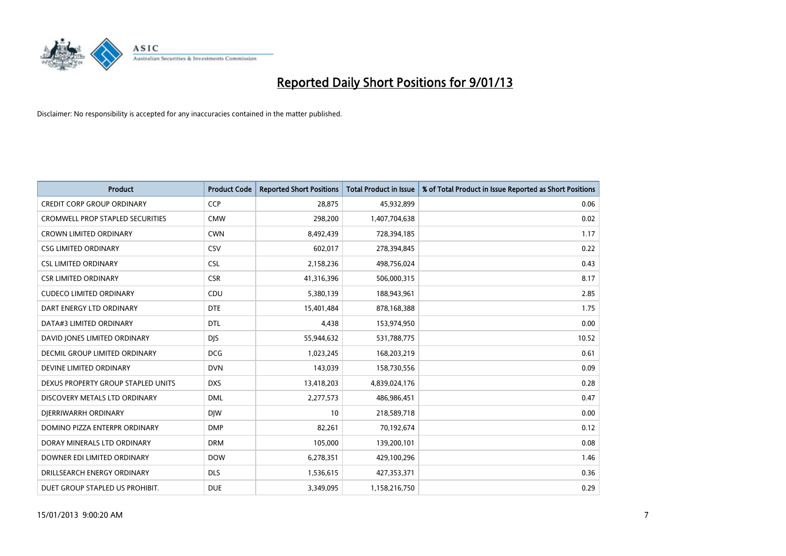

| Product                                 | <b>Product Code</b> | <b>Reported Short Positions</b> | <b>Total Product in Issue</b> | % of Total Product in Issue Reported as Short Positions |
|-----------------------------------------|---------------------|---------------------------------|-------------------------------|---------------------------------------------------------|
| <b>CREDIT CORP GROUP ORDINARY</b>       | CCP                 | 28,875                          | 45,932,899                    | 0.06                                                    |
| <b>CROMWELL PROP STAPLED SECURITIES</b> | <b>CMW</b>          | 298,200                         | 1,407,704,638                 | 0.02                                                    |
| <b>CROWN LIMITED ORDINARY</b>           | <b>CWN</b>          | 8,492,439                       | 728,394,185                   | 1.17                                                    |
| <b>CSG LIMITED ORDINARY</b>             | CSV                 | 602,017                         | 278,394,845                   | 0.22                                                    |
| <b>CSL LIMITED ORDINARY</b>             | <b>CSL</b>          | 2,158,236                       | 498,756,024                   | 0.43                                                    |
| <b>CSR LIMITED ORDINARY</b>             | <b>CSR</b>          | 41,316,396                      | 506,000,315                   | 8.17                                                    |
| <b>CUDECO LIMITED ORDINARY</b>          | CDU                 | 5,380,139                       | 188,943,961                   | 2.85                                                    |
| DART ENERGY LTD ORDINARY                | <b>DTE</b>          | 15,401,484                      | 878,168,388                   | 1.75                                                    |
| DATA#3 LIMITED ORDINARY                 | <b>DTL</b>          | 4,438                           | 153,974,950                   | 0.00                                                    |
| DAVID JONES LIMITED ORDINARY            | <b>DJS</b>          | 55,944,632                      | 531,788,775                   | 10.52                                                   |
| DECMIL GROUP LIMITED ORDINARY           | <b>DCG</b>          | 1,023,245                       | 168,203,219                   | 0.61                                                    |
| DEVINE LIMITED ORDINARY                 | <b>DVN</b>          | 143,039                         | 158,730,556                   | 0.09                                                    |
| DEXUS PROPERTY GROUP STAPLED UNITS      | <b>DXS</b>          | 13,418,203                      | 4,839,024,176                 | 0.28                                                    |
| DISCOVERY METALS LTD ORDINARY           | <b>DML</b>          | 2,277,573                       | 486,986,451                   | 0.47                                                    |
| DIERRIWARRH ORDINARY                    | <b>DIW</b>          | 10                              | 218,589,718                   | 0.00                                                    |
| DOMINO PIZZA ENTERPR ORDINARY           | <b>DMP</b>          | 82,261                          | 70,192,674                    | 0.12                                                    |
| DORAY MINERALS LTD ORDINARY             | <b>DRM</b>          | 105,000                         | 139,200,101                   | 0.08                                                    |
| DOWNER EDI LIMITED ORDINARY             | <b>DOW</b>          | 6,278,351                       | 429,100,296                   | 1.46                                                    |
| DRILLSEARCH ENERGY ORDINARY             | <b>DLS</b>          | 1,536,615                       | 427,353,371                   | 0.36                                                    |
| DUET GROUP STAPLED US PROHIBIT.         | <b>DUE</b>          | 3,349,095                       | 1,158,216,750                 | 0.29                                                    |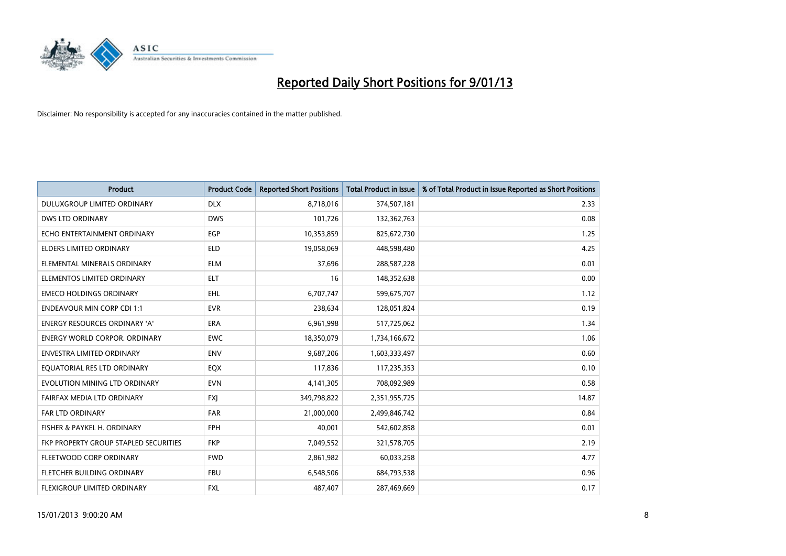

| Product                               | <b>Product Code</b> | <b>Reported Short Positions</b> | <b>Total Product in Issue</b> | % of Total Product in Issue Reported as Short Positions |
|---------------------------------------|---------------------|---------------------------------|-------------------------------|---------------------------------------------------------|
| DULUXGROUP LIMITED ORDINARY           | <b>DLX</b>          | 8,718,016                       | 374,507,181                   | 2.33                                                    |
| <b>DWS LTD ORDINARY</b>               | <b>DWS</b>          | 101,726                         | 132,362,763                   | 0.08                                                    |
| ECHO ENTERTAINMENT ORDINARY           | EGP                 | 10,353,859                      | 825,672,730                   | 1.25                                                    |
| ELDERS LIMITED ORDINARY               | <b>ELD</b>          | 19,058,069                      | 448,598,480                   | 4.25                                                    |
| ELEMENTAL MINERALS ORDINARY           | <b>ELM</b>          | 37,696                          | 288,587,228                   | 0.01                                                    |
| ELEMENTOS LIMITED ORDINARY            | <b>ELT</b>          | 16                              | 148,352,638                   | 0.00                                                    |
| <b>EMECO HOLDINGS ORDINARY</b>        | <b>EHL</b>          | 6,707,747                       | 599,675,707                   | 1.12                                                    |
| <b>ENDEAVOUR MIN CORP CDI 1:1</b>     | <b>EVR</b>          | 238,634                         | 128,051,824                   | 0.19                                                    |
| ENERGY RESOURCES ORDINARY 'A'         | <b>ERA</b>          | 6,961,998                       | 517,725,062                   | 1.34                                                    |
| <b>ENERGY WORLD CORPOR, ORDINARY</b>  | <b>EWC</b>          | 18,350,079                      | 1,734,166,672                 | 1.06                                                    |
| <b>ENVESTRA LIMITED ORDINARY</b>      | <b>ENV</b>          | 9,687,206                       | 1,603,333,497                 | 0.60                                                    |
| EQUATORIAL RES LTD ORDINARY           | EQX                 | 117,836                         | 117,235,353                   | 0.10                                                    |
| EVOLUTION MINING LTD ORDINARY         | <b>EVN</b>          | 4,141,305                       | 708,092,989                   | 0.58                                                    |
| FAIRFAX MEDIA LTD ORDINARY            | <b>FXI</b>          | 349,798,822                     | 2,351,955,725                 | 14.87                                                   |
| FAR LTD ORDINARY                      | <b>FAR</b>          | 21,000,000                      | 2,499,846,742                 | 0.84                                                    |
| FISHER & PAYKEL H. ORDINARY           | <b>FPH</b>          | 40.001                          | 542,602,858                   | 0.01                                                    |
| FKP PROPERTY GROUP STAPLED SECURITIES | <b>FKP</b>          | 7,049,552                       | 321,578,705                   | 2.19                                                    |
| FLEETWOOD CORP ORDINARY               | <b>FWD</b>          | 2,861,982                       | 60,033,258                    | 4.77                                                    |
| FLETCHER BUILDING ORDINARY            | <b>FBU</b>          | 6,548,506                       | 684,793,538                   | 0.96                                                    |
| FLEXIGROUP LIMITED ORDINARY           | <b>FXL</b>          | 487,407                         | 287,469,669                   | 0.17                                                    |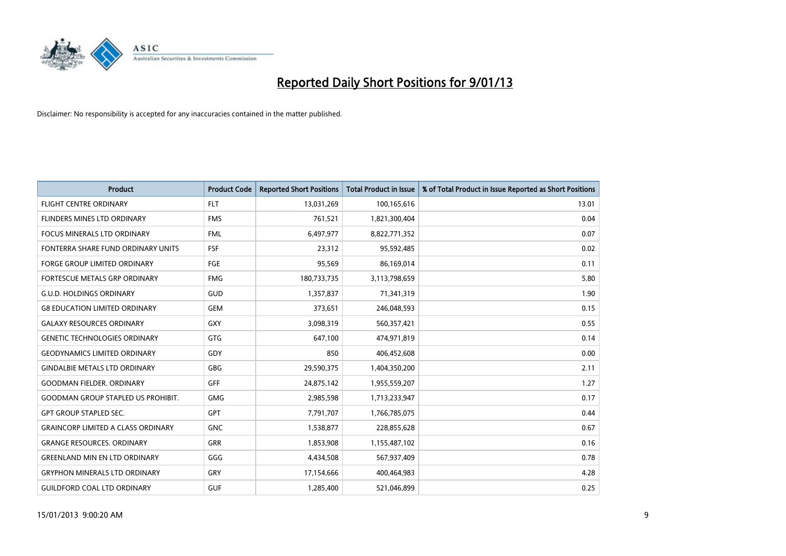

| Product                                   | <b>Product Code</b> | <b>Reported Short Positions</b> | Total Product in Issue | % of Total Product in Issue Reported as Short Positions |
|-------------------------------------------|---------------------|---------------------------------|------------------------|---------------------------------------------------------|
| <b>FLIGHT CENTRE ORDINARY</b>             | <b>FLT</b>          | 13,031,269                      | 100,165,616            | 13.01                                                   |
| FLINDERS MINES LTD ORDINARY               | <b>FMS</b>          | 761,521                         | 1,821,300,404          | 0.04                                                    |
| <b>FOCUS MINERALS LTD ORDINARY</b>        | <b>FML</b>          | 6,497,977                       | 8,822,771,352          | 0.07                                                    |
| FONTERRA SHARE FUND ORDINARY UNITS        | FSF                 | 23,312                          | 95,592,485             | 0.02                                                    |
| <b>FORGE GROUP LIMITED ORDINARY</b>       | FGE                 | 95,569                          | 86,169,014             | 0.11                                                    |
| FORTESCUE METALS GRP ORDINARY             | <b>FMG</b>          | 180,733,735                     | 3,113,798,659          | 5.80                                                    |
| <b>G.U.D. HOLDINGS ORDINARY</b>           | GUD                 | 1,357,837                       | 71,341,319             | 1.90                                                    |
| <b>G8 EDUCATION LIMITED ORDINARY</b>      | <b>GEM</b>          | 373,651                         | 246,048,593            | 0.15                                                    |
| <b>GALAXY RESOURCES ORDINARY</b>          | <b>GXY</b>          | 3,098,319                       | 560,357,421            | 0.55                                                    |
| <b>GENETIC TECHNOLOGIES ORDINARY</b>      | <b>GTG</b>          | 647,100                         | 474,971,819            | 0.14                                                    |
| <b>GEODYNAMICS LIMITED ORDINARY</b>       | GDY                 | 850                             | 406,452,608            | 0.00                                                    |
| <b>GINDALBIE METALS LTD ORDINARY</b>      | <b>GBG</b>          | 29,590,375                      | 1,404,350,200          | 2.11                                                    |
| <b>GOODMAN FIELDER, ORDINARY</b>          | GFF                 | 24,875,142                      | 1,955,559,207          | 1.27                                                    |
| <b>GOODMAN GROUP STAPLED US PROHIBIT.</b> | <b>GMG</b>          | 2,985,598                       | 1,713,233,947          | 0.17                                                    |
| <b>GPT GROUP STAPLED SEC.</b>             | <b>GPT</b>          | 7,791,707                       | 1,766,785,075          | 0.44                                                    |
| <b>GRAINCORP LIMITED A CLASS ORDINARY</b> | <b>GNC</b>          | 1,538,877                       | 228,855,628            | 0.67                                                    |
| <b>GRANGE RESOURCES, ORDINARY</b>         | <b>GRR</b>          | 1,853,908                       | 1,155,487,102          | 0.16                                                    |
| <b>GREENLAND MIN EN LTD ORDINARY</b>      | GGG                 | 4,434,508                       | 567,937,409            | 0.78                                                    |
| <b>GRYPHON MINERALS LTD ORDINARY</b>      | GRY                 | 17,154,666                      | 400,464,983            | 4.28                                                    |
| <b>GUILDFORD COAL LTD ORDINARY</b>        | <b>GUF</b>          | 1.285.400                       | 521,046,899            | 0.25                                                    |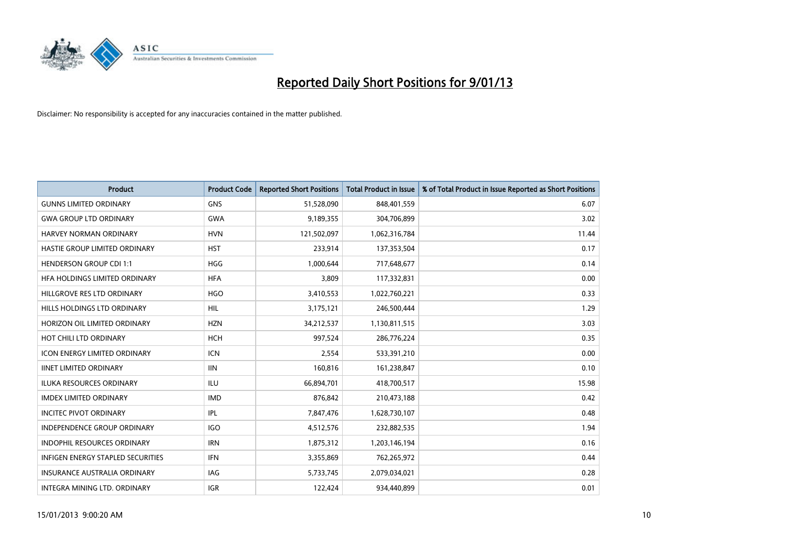

| Product                             | <b>Product Code</b> | <b>Reported Short Positions</b> | <b>Total Product in Issue</b> | % of Total Product in Issue Reported as Short Positions |
|-------------------------------------|---------------------|---------------------------------|-------------------------------|---------------------------------------------------------|
| <b>GUNNS LIMITED ORDINARY</b>       | <b>GNS</b>          | 51,528,090                      | 848,401,559                   | 6.07                                                    |
| <b>GWA GROUP LTD ORDINARY</b>       | <b>GWA</b>          | 9,189,355                       | 304,706,899                   | 3.02                                                    |
| HARVEY NORMAN ORDINARY              | <b>HVN</b>          | 121,502,097                     | 1,062,316,784                 | 11.44                                                   |
| HASTIE GROUP LIMITED ORDINARY       | <b>HST</b>          | 233,914                         | 137,353,504                   | 0.17                                                    |
| <b>HENDERSON GROUP CDI 1:1</b>      | <b>HGG</b>          | 1.000.644                       | 717,648,677                   | 0.14                                                    |
| HFA HOLDINGS LIMITED ORDINARY       | <b>HFA</b>          | 3,809                           | 117,332,831                   | 0.00                                                    |
| HILLGROVE RES LTD ORDINARY          | <b>HGO</b>          | 3,410,553                       | 1,022,760,221                 | 0.33                                                    |
| HILLS HOLDINGS LTD ORDINARY         | <b>HIL</b>          | 3,175,121                       | 246,500,444                   | 1.29                                                    |
| HORIZON OIL LIMITED ORDINARY        | <b>HZN</b>          | 34,212,537                      | 1,130,811,515                 | 3.03                                                    |
| HOT CHILI LTD ORDINARY              | <b>HCH</b>          | 997,524                         | 286,776,224                   | 0.35                                                    |
| <b>ICON ENERGY LIMITED ORDINARY</b> | <b>ICN</b>          | 2,554                           | 533,391,210                   | 0.00                                                    |
| <b>IINET LIMITED ORDINARY</b>       | <b>IIN</b>          | 160,816                         | 161,238,847                   | 0.10                                                    |
| <b>ILUKA RESOURCES ORDINARY</b>     | ILU                 | 66,894,701                      | 418,700,517                   | 15.98                                                   |
| <b>IMDEX LIMITED ORDINARY</b>       | <b>IMD</b>          | 876.842                         | 210,473,188                   | 0.42                                                    |
| <b>INCITEC PIVOT ORDINARY</b>       | IPL                 | 7,847,476                       | 1,628,730,107                 | 0.48                                                    |
| <b>INDEPENDENCE GROUP ORDINARY</b>  | <b>IGO</b>          | 4,512,576                       | 232,882,535                   | 1.94                                                    |
| <b>INDOPHIL RESOURCES ORDINARY</b>  | <b>IRN</b>          | 1,875,312                       | 1,203,146,194                 | 0.16                                                    |
| INFIGEN ENERGY STAPLED SECURITIES   | <b>IFN</b>          | 3,355,869                       | 762,265,972                   | 0.44                                                    |
| <b>INSURANCE AUSTRALIA ORDINARY</b> | IAG                 | 5,733,745                       | 2,079,034,021                 | 0.28                                                    |
| INTEGRA MINING LTD. ORDINARY        | <b>IGR</b>          | 122.424                         | 934.440.899                   | 0.01                                                    |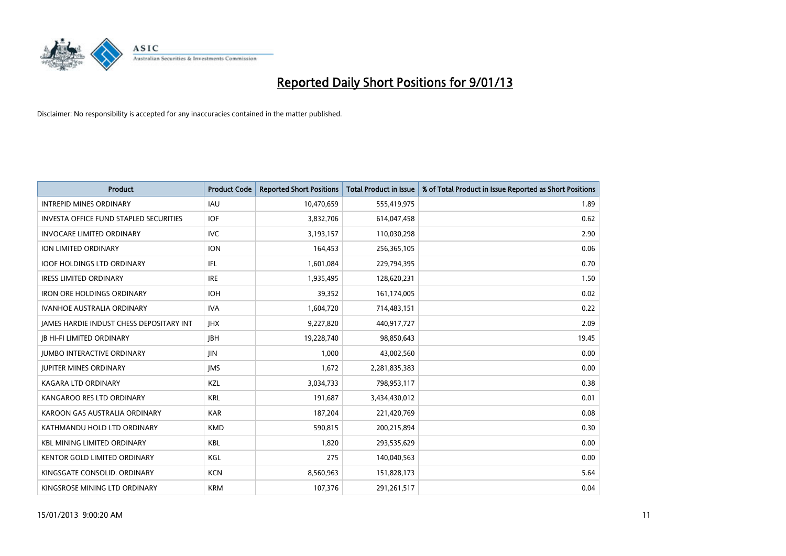

| Product                                       | <b>Product Code</b> | <b>Reported Short Positions</b> | <b>Total Product in Issue</b> | % of Total Product in Issue Reported as Short Positions |
|-----------------------------------------------|---------------------|---------------------------------|-------------------------------|---------------------------------------------------------|
| <b>INTREPID MINES ORDINARY</b>                | <b>IAU</b>          | 10,470,659                      | 555,419,975                   | 1.89                                                    |
| <b>INVESTA OFFICE FUND STAPLED SECURITIES</b> | <b>IOF</b>          | 3,832,706                       | 614,047,458                   | 0.62                                                    |
| <b>INVOCARE LIMITED ORDINARY</b>              | <b>IVC</b>          | 3,193,157                       | 110,030,298                   | 2.90                                                    |
| ION LIMITED ORDINARY                          | <b>ION</b>          | 164,453                         | 256,365,105                   | 0.06                                                    |
| <b>IOOF HOLDINGS LTD ORDINARY</b>             | <b>IFL</b>          | 1,601,084                       | 229,794,395                   | 0.70                                                    |
| <b>IRESS LIMITED ORDINARY</b>                 | <b>IRE</b>          | 1,935,495                       | 128,620,231                   | 1.50                                                    |
| <b>IRON ORE HOLDINGS ORDINARY</b>             | <b>IOH</b>          | 39.352                          | 161,174,005                   | 0.02                                                    |
| <b>IVANHOE AUSTRALIA ORDINARY</b>             | <b>IVA</b>          | 1,604,720                       | 714,483,151                   | 0.22                                                    |
| JAMES HARDIE INDUST CHESS DEPOSITARY INT      | <b>IHX</b>          | 9,227,820                       | 440,917,727                   | 2.09                                                    |
| <b>IB HI-FI LIMITED ORDINARY</b>              | <b>IBH</b>          | 19,228,740                      | 98,850,643                    | 19.45                                                   |
| <b>JUMBO INTERACTIVE ORDINARY</b>             | <b>JIN</b>          | 1.000                           | 43,002,560                    | 0.00                                                    |
| <b>JUPITER MINES ORDINARY</b>                 | <b>IMS</b>          | 1,672                           | 2,281,835,383                 | 0.00                                                    |
| <b>KAGARA LTD ORDINARY</b>                    | KZL                 | 3,034,733                       | 798,953,117                   | 0.38                                                    |
| KANGAROO RES LTD ORDINARY                     | <b>KRL</b>          | 191,687                         | 3,434,430,012                 | 0.01                                                    |
| KAROON GAS AUSTRALIA ORDINARY                 | <b>KAR</b>          | 187,204                         | 221,420,769                   | 0.08                                                    |
| KATHMANDU HOLD LTD ORDINARY                   | <b>KMD</b>          | 590,815                         | 200,215,894                   | 0.30                                                    |
| <b>KBL MINING LIMITED ORDINARY</b>            | <b>KBL</b>          | 1,820                           | 293,535,629                   | 0.00                                                    |
| KENTOR GOLD LIMITED ORDINARY                  | KGL                 | 275                             | 140,040,563                   | 0.00                                                    |
| KINGSGATE CONSOLID. ORDINARY                  | <b>KCN</b>          | 8,560,963                       | 151,828,173                   | 5.64                                                    |
| KINGSROSE MINING LTD ORDINARY                 | <b>KRM</b>          | 107.376                         | 291,261,517                   | 0.04                                                    |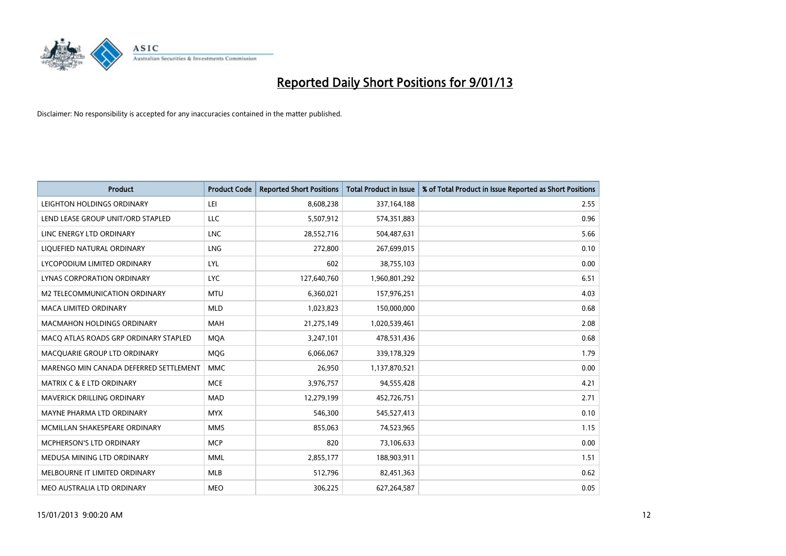

| <b>Product</b>                         | <b>Product Code</b> | <b>Reported Short Positions</b> | Total Product in Issue | % of Total Product in Issue Reported as Short Positions |
|----------------------------------------|---------------------|---------------------------------|------------------------|---------------------------------------------------------|
| LEIGHTON HOLDINGS ORDINARY             | LEI                 | 8,608,238                       | 337,164,188            | 2.55                                                    |
| LEND LEASE GROUP UNIT/ORD STAPLED      | LLC                 | 5,507,912                       | 574,351,883            | 0.96                                                    |
| LINC ENERGY LTD ORDINARY               | <b>LNC</b>          | 28,552,716                      | 504,487,631            | 5.66                                                    |
| LIQUEFIED NATURAL ORDINARY             | <b>LNG</b>          | 272,800                         | 267,699,015            | 0.10                                                    |
| LYCOPODIUM LIMITED ORDINARY            | LYL                 | 602                             | 38,755,103             | 0.00                                                    |
| <b>LYNAS CORPORATION ORDINARY</b>      | <b>LYC</b>          | 127,640,760                     | 1,960,801,292          | 6.51                                                    |
| M2 TELECOMMUNICATION ORDINARY          | <b>MTU</b>          | 6,360,021                       | 157,976,251            | 4.03                                                    |
| <b>MACA LIMITED ORDINARY</b>           | <b>MLD</b>          | 1,023,823                       | 150,000,000            | 0.68                                                    |
| MACMAHON HOLDINGS ORDINARY             | <b>MAH</b>          | 21,275,149                      | 1,020,539,461          | 2.08                                                    |
| MACO ATLAS ROADS GRP ORDINARY STAPLED  | <b>MOA</b>          | 3,247,101                       | 478,531,436            | 0.68                                                    |
| MACQUARIE GROUP LTD ORDINARY           | <b>MQG</b>          | 6,066,067                       | 339,178,329            | 1.79                                                    |
| MARENGO MIN CANADA DEFERRED SETTLEMENT | <b>MMC</b>          | 26,950                          | 1,137,870,521          | 0.00                                                    |
| <b>MATRIX C &amp; E LTD ORDINARY</b>   | <b>MCE</b>          | 3,976,757                       | 94,555,428             | 4.21                                                    |
| MAVERICK DRILLING ORDINARY             | <b>MAD</b>          | 12,279,199                      | 452,726,751            | 2.71                                                    |
| MAYNE PHARMA LTD ORDINARY              | <b>MYX</b>          | 546,300                         | 545,527,413            | 0.10                                                    |
| MCMILLAN SHAKESPEARE ORDINARY          | <b>MMS</b>          | 855,063                         | 74,523,965             | 1.15                                                    |
| <b>MCPHERSON'S LTD ORDINARY</b>        | <b>MCP</b>          | 820                             | 73,106,633             | 0.00                                                    |
| MEDUSA MINING LTD ORDINARY             | <b>MML</b>          | 2,855,177                       | 188,903,911            | 1.51                                                    |
| MELBOURNE IT LIMITED ORDINARY          | <b>MLB</b>          | 512,796                         | 82,451,363             | 0.62                                                    |
| MEO AUSTRALIA LTD ORDINARY             | <b>MEO</b>          | 306,225                         | 627,264,587            | 0.05                                                    |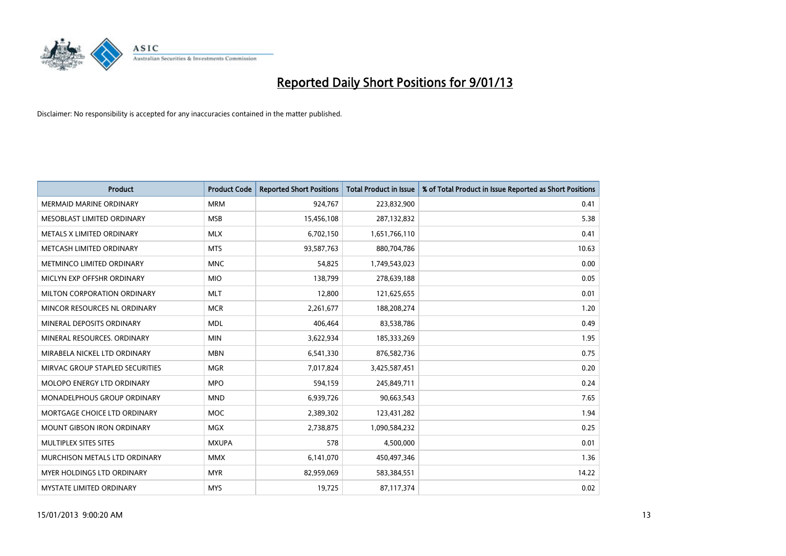

| Product                            | <b>Product Code</b> | <b>Reported Short Positions</b> | Total Product in Issue | % of Total Product in Issue Reported as Short Positions |
|------------------------------------|---------------------|---------------------------------|------------------------|---------------------------------------------------------|
| <b>MERMAID MARINE ORDINARY</b>     | <b>MRM</b>          | 924,767                         | 223,832,900            | 0.41                                                    |
| MESOBLAST LIMITED ORDINARY         | <b>MSB</b>          | 15,456,108                      | 287,132,832            | 5.38                                                    |
| METALS X LIMITED ORDINARY          | <b>MLX</b>          | 6,702,150                       | 1,651,766,110          | 0.41                                                    |
| METCASH LIMITED ORDINARY           | <b>MTS</b>          | 93,587,763                      | 880,704,786            | 10.63                                                   |
| METMINCO LIMITED ORDINARY          | <b>MNC</b>          | 54,825                          | 1,749,543,023          | 0.00                                                    |
| MICLYN EXP OFFSHR ORDINARY         | <b>MIO</b>          | 138,799                         | 278,639,188            | 0.05                                                    |
| <b>MILTON CORPORATION ORDINARY</b> | <b>MLT</b>          | 12,800                          | 121,625,655            | 0.01                                                    |
| MINCOR RESOURCES NL ORDINARY       | <b>MCR</b>          | 2,261,677                       | 188,208,274            | 1.20                                                    |
| MINERAL DEPOSITS ORDINARY          | <b>MDL</b>          | 406,464                         | 83,538,786             | 0.49                                                    |
| MINERAL RESOURCES, ORDINARY        | <b>MIN</b>          | 3,622,934                       | 185,333,269            | 1.95                                                    |
| MIRABELA NICKEL LTD ORDINARY       | <b>MBN</b>          | 6,541,330                       | 876,582,736            | 0.75                                                    |
| MIRVAC GROUP STAPLED SECURITIES    | <b>MGR</b>          | 7,017,824                       | 3,425,587,451          | 0.20                                                    |
| MOLOPO ENERGY LTD ORDINARY         | <b>MPO</b>          | 594,159                         | 245,849,711            | 0.24                                                    |
| <b>MONADELPHOUS GROUP ORDINARY</b> | <b>MND</b>          | 6,939,726                       | 90,663,543             | 7.65                                                    |
| MORTGAGE CHOICE LTD ORDINARY       | <b>MOC</b>          | 2,389,302                       | 123,431,282            | 1.94                                                    |
| MOUNT GIBSON IRON ORDINARY         | <b>MGX</b>          | 2,738,875                       | 1,090,584,232          | 0.25                                                    |
| MULTIPLEX SITES SITES              | <b>MXUPA</b>        | 578                             | 4,500,000              | 0.01                                                    |
| MURCHISON METALS LTD ORDINARY      | <b>MMX</b>          | 6,141,070                       | 450,497,346            | 1.36                                                    |
| MYER HOLDINGS LTD ORDINARY         | <b>MYR</b>          | 82,959,069                      | 583,384,551            | 14.22                                                   |
| MYSTATE LIMITED ORDINARY           | <b>MYS</b>          | 19,725                          | 87,117,374             | 0.02                                                    |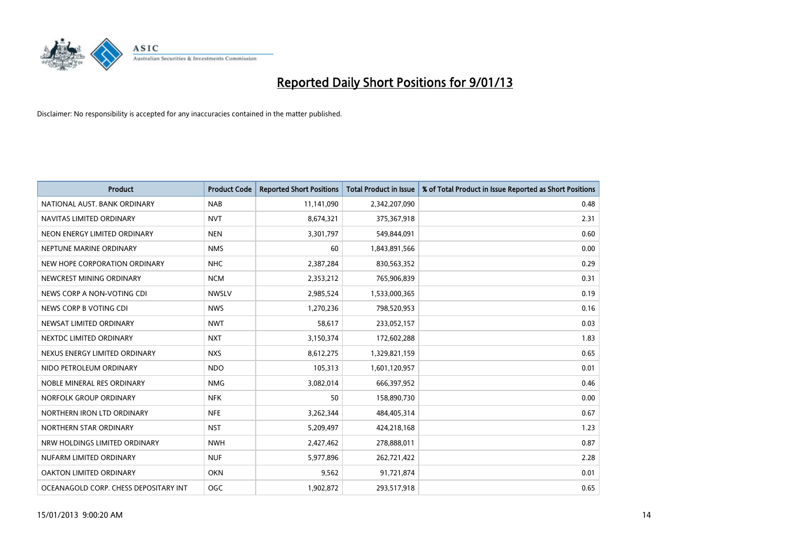

| Product                               | <b>Product Code</b> | <b>Reported Short Positions</b> | <b>Total Product in Issue</b> | % of Total Product in Issue Reported as Short Positions |
|---------------------------------------|---------------------|---------------------------------|-------------------------------|---------------------------------------------------------|
| NATIONAL AUST, BANK ORDINARY          | <b>NAB</b>          | 11,141,090                      | 2,342,207,090                 | 0.48                                                    |
| NAVITAS LIMITED ORDINARY              | <b>NVT</b>          | 8,674,321                       | 375,367,918                   | 2.31                                                    |
| NEON ENERGY LIMITED ORDINARY          | <b>NEN</b>          | 3,301,797                       | 549,844,091                   | 0.60                                                    |
| NEPTUNE MARINE ORDINARY               | <b>NMS</b>          | 60                              | 1,843,891,566                 | 0.00                                                    |
| NEW HOPE CORPORATION ORDINARY         | <b>NHC</b>          | 2,387,284                       | 830,563,352                   | 0.29                                                    |
| NEWCREST MINING ORDINARY              | <b>NCM</b>          | 2,353,212                       | 765,906,839                   | 0.31                                                    |
| NEWS CORP A NON-VOTING CDI            | <b>NWSLV</b>        | 2,985,524                       | 1,533,000,365                 | 0.19                                                    |
| NEWS CORP B VOTING CDI                | <b>NWS</b>          | 1,270,236                       | 798,520,953                   | 0.16                                                    |
| NEWSAT LIMITED ORDINARY               | <b>NWT</b>          | 58,617                          | 233,052,157                   | 0.03                                                    |
| NEXTDC LIMITED ORDINARY               | <b>NXT</b>          | 3,150,374                       | 172,602,288                   | 1.83                                                    |
| NEXUS ENERGY LIMITED ORDINARY         | <b>NXS</b>          | 8,612,275                       | 1,329,821,159                 | 0.65                                                    |
| NIDO PETROLEUM ORDINARY               | <b>NDO</b>          | 105,313                         | 1,601,120,957                 | 0.01                                                    |
| NOBLE MINERAL RES ORDINARY            | <b>NMG</b>          | 3,082,014                       | 666,397,952                   | 0.46                                                    |
| NORFOLK GROUP ORDINARY                | <b>NFK</b>          | 50                              | 158,890,730                   | 0.00                                                    |
| NORTHERN IRON LTD ORDINARY            | <b>NFE</b>          | 3,262,344                       | 484,405,314                   | 0.67                                                    |
| NORTHERN STAR ORDINARY                | <b>NST</b>          | 5,209,497                       | 424,218,168                   | 1.23                                                    |
| NRW HOLDINGS LIMITED ORDINARY         | <b>NWH</b>          | 2,427,462                       | 278,888,011                   | 0.87                                                    |
| NUFARM LIMITED ORDINARY               | <b>NUF</b>          | 5,977,896                       | 262,721,422                   | 2.28                                                    |
| OAKTON LIMITED ORDINARY               | <b>OKN</b>          | 9,562                           | 91,721,874                    | 0.01                                                    |
| OCEANAGOLD CORP. CHESS DEPOSITARY INT | <b>OGC</b>          | 1,902,872                       | 293,517,918                   | 0.65                                                    |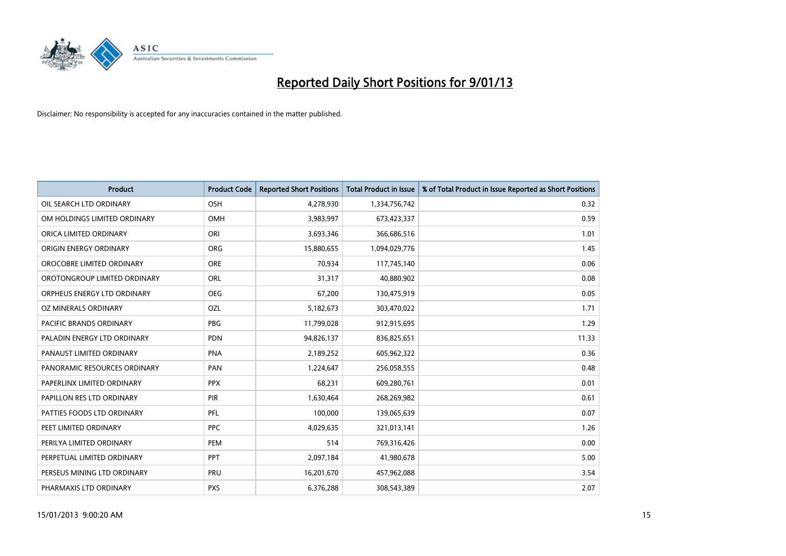

| Product                      | <b>Product Code</b> | <b>Reported Short Positions</b> | <b>Total Product in Issue</b> | % of Total Product in Issue Reported as Short Positions |
|------------------------------|---------------------|---------------------------------|-------------------------------|---------------------------------------------------------|
| OIL SEARCH LTD ORDINARY      | <b>OSH</b>          | 4,278,930                       | 1,334,756,742                 | 0.32                                                    |
| OM HOLDINGS LIMITED ORDINARY | OMH                 | 3,983,997                       | 673,423,337                   | 0.59                                                    |
| ORICA LIMITED ORDINARY       | ORI                 | 3,693,346                       | 366,686,516                   | 1.01                                                    |
| ORIGIN ENERGY ORDINARY       | <b>ORG</b>          | 15,880,655                      | 1,094,029,776                 | 1.45                                                    |
| OROCOBRE LIMITED ORDINARY    | <b>ORE</b>          | 70,934                          | 117,745,140                   | 0.06                                                    |
| OROTONGROUP LIMITED ORDINARY | ORL                 | 31,317                          | 40,880,902                    | 0.08                                                    |
| ORPHEUS ENERGY LTD ORDINARY  | <b>OEG</b>          | 67,200                          | 130,475,919                   | 0.05                                                    |
| OZ MINERALS ORDINARY         | OZL                 | 5,182,673                       | 303,470,022                   | 1.71                                                    |
| PACIFIC BRANDS ORDINARY      | <b>PBG</b>          | 11,799,028                      | 912,915,695                   | 1.29                                                    |
| PALADIN ENERGY LTD ORDINARY  | <b>PDN</b>          | 94,826,137                      | 836,825,651                   | 11.33                                                   |
| PANAUST LIMITED ORDINARY     | <b>PNA</b>          | 2,189,252                       | 605,962,322                   | 0.36                                                    |
| PANORAMIC RESOURCES ORDINARY | PAN                 | 1,224,647                       | 256,058,555                   | 0.48                                                    |
| PAPERLINX LIMITED ORDINARY   | <b>PPX</b>          | 68,231                          | 609,280,761                   | 0.01                                                    |
| PAPILLON RES LTD ORDINARY    | PIR                 | 1,630,464                       | 268,269,982                   | 0.61                                                    |
| PATTIES FOODS LTD ORDINARY   | PFL                 | 100,000                         | 139,065,639                   | 0.07                                                    |
| PEET LIMITED ORDINARY        | <b>PPC</b>          | 4,029,635                       | 321,013,141                   | 1.26                                                    |
| PERILYA LIMITED ORDINARY     | PEM                 | 514                             | 769,316,426                   | 0.00                                                    |
| PERPETUAL LIMITED ORDINARY   | <b>PPT</b>          | 2,097,184                       | 41,980,678                    | 5.00                                                    |
| PERSEUS MINING LTD ORDINARY  | PRU                 | 16,201,670                      | 457,962,088                   | 3.54                                                    |
| PHARMAXIS LTD ORDINARY       | <b>PXS</b>          | 6,376,288                       | 308,543,389                   | 2.07                                                    |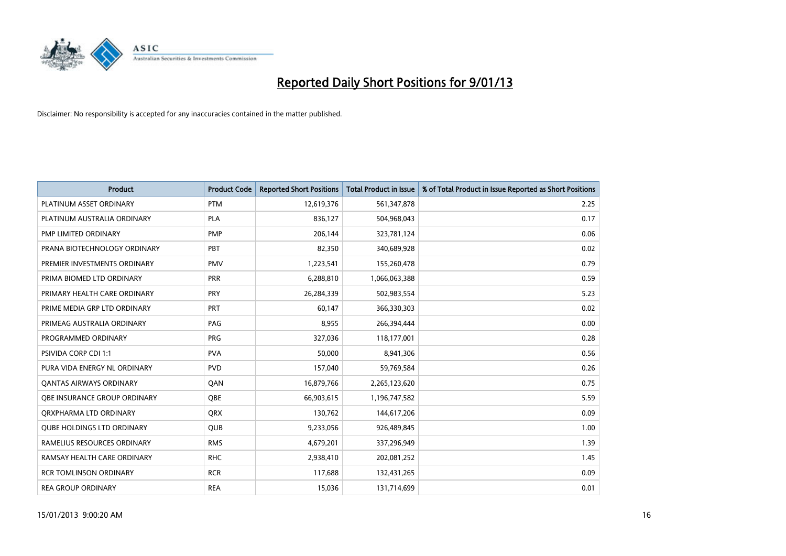

| Product                           | <b>Product Code</b> | <b>Reported Short Positions</b> | <b>Total Product in Issue</b> | % of Total Product in Issue Reported as Short Positions |
|-----------------------------------|---------------------|---------------------------------|-------------------------------|---------------------------------------------------------|
| PLATINUM ASSET ORDINARY           | <b>PTM</b>          | 12,619,376                      | 561,347,878                   | 2.25                                                    |
| PLATINUM AUSTRALIA ORDINARY       | <b>PLA</b>          | 836,127                         | 504,968,043                   | 0.17                                                    |
| PMP LIMITED ORDINARY              | <b>PMP</b>          | 206,144                         | 323,781,124                   | 0.06                                                    |
| PRANA BIOTECHNOLOGY ORDINARY      | PBT                 | 82,350                          | 340,689,928                   | 0.02                                                    |
| PREMIER INVESTMENTS ORDINARY      | <b>PMV</b>          | 1,223,541                       | 155,260,478                   | 0.79                                                    |
| PRIMA BIOMED LTD ORDINARY         | <b>PRR</b>          | 6,288,810                       | 1,066,063,388                 | 0.59                                                    |
| PRIMARY HEALTH CARE ORDINARY      | <b>PRY</b>          | 26,284,339                      | 502,983,554                   | 5.23                                                    |
| PRIME MEDIA GRP LTD ORDINARY      | <b>PRT</b>          | 60,147                          | 366,330,303                   | 0.02                                                    |
| PRIMEAG AUSTRALIA ORDINARY        | PAG                 | 8,955                           | 266,394,444                   | 0.00                                                    |
| PROGRAMMED ORDINARY               | <b>PRG</b>          | 327,036                         | 118,177,001                   | 0.28                                                    |
| <b>PSIVIDA CORP CDI 1:1</b>       | <b>PVA</b>          | 50,000                          | 8,941,306                     | 0.56                                                    |
| PURA VIDA ENERGY NL ORDINARY      | <b>PVD</b>          | 157,040                         | 59,769,584                    | 0.26                                                    |
| OANTAS AIRWAYS ORDINARY           | QAN                 | 16,879,766                      | 2,265,123,620                 | 0.75                                                    |
| OBE INSURANCE GROUP ORDINARY      | <b>OBE</b>          | 66,903,615                      | 1,196,747,582                 | 5.59                                                    |
| ORXPHARMA LTD ORDINARY            | <b>QRX</b>          | 130,762                         | 144,617,206                   | 0.09                                                    |
| <b>QUBE HOLDINGS LTD ORDINARY</b> | <b>OUB</b>          | 9,233,056                       | 926,489,845                   | 1.00                                                    |
| RAMELIUS RESOURCES ORDINARY       | <b>RMS</b>          | 4,679,201                       | 337,296,949                   | 1.39                                                    |
| RAMSAY HEALTH CARE ORDINARY       | <b>RHC</b>          | 2,938,410                       | 202,081,252                   | 1.45                                                    |
| <b>RCR TOMLINSON ORDINARY</b>     | <b>RCR</b>          | 117,688                         | 132,431,265                   | 0.09                                                    |
| <b>REA GROUP ORDINARY</b>         | <b>REA</b>          | 15,036                          | 131,714,699                   | 0.01                                                    |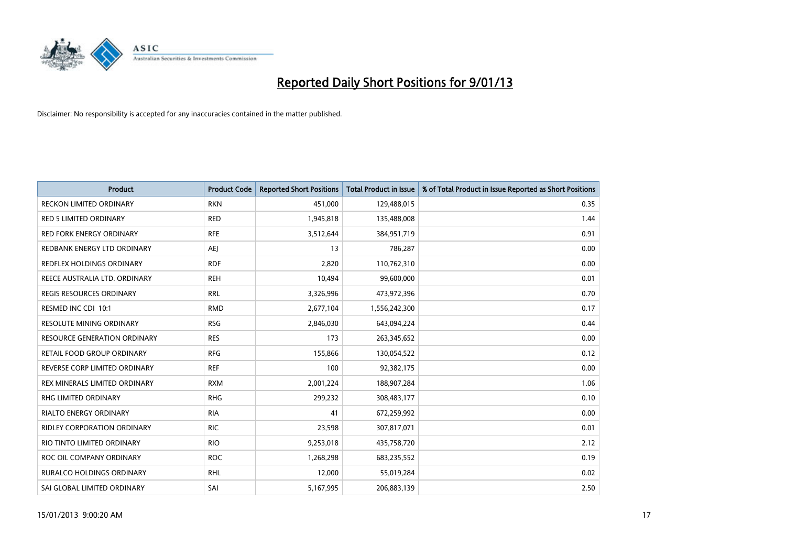

| Product                             | <b>Product Code</b> | <b>Reported Short Positions</b> | Total Product in Issue | % of Total Product in Issue Reported as Short Positions |
|-------------------------------------|---------------------|---------------------------------|------------------------|---------------------------------------------------------|
| <b>RECKON LIMITED ORDINARY</b>      | <b>RKN</b>          | 451,000                         | 129,488,015            | 0.35                                                    |
| RED 5 LIMITED ORDINARY              | <b>RED</b>          | 1,945,818                       | 135,488,008            | 1.44                                                    |
| <b>RED FORK ENERGY ORDINARY</b>     | <b>RFE</b>          | 3,512,644                       | 384,951,719            | 0.91                                                    |
| REDBANK ENERGY LTD ORDINARY         | <b>AEI</b>          | 13                              | 786,287                | 0.00                                                    |
| REDFLEX HOLDINGS ORDINARY           | <b>RDF</b>          | 2,820                           | 110,762,310            | 0.00                                                    |
| REECE AUSTRALIA LTD. ORDINARY       | <b>REH</b>          | 10,494                          | 99,600,000             | 0.01                                                    |
| <b>REGIS RESOURCES ORDINARY</b>     | <b>RRL</b>          | 3,326,996                       | 473,972,396            | 0.70                                                    |
| RESMED INC CDI 10:1                 | <b>RMD</b>          | 2,677,104                       | 1,556,242,300          | 0.17                                                    |
| RESOLUTE MINING ORDINARY            | <b>RSG</b>          | 2,846,030                       | 643,094,224            | 0.44                                                    |
| <b>RESOURCE GENERATION ORDINARY</b> | <b>RES</b>          | 173                             | 263,345,652            | 0.00                                                    |
| RETAIL FOOD GROUP ORDINARY          | <b>RFG</b>          | 155,866                         | 130,054,522            | 0.12                                                    |
| REVERSE CORP LIMITED ORDINARY       | <b>REF</b>          | 100                             | 92,382,175             | 0.00                                                    |
| REX MINERALS LIMITED ORDINARY       | <b>RXM</b>          | 2,001,224                       | 188,907,284            | 1.06                                                    |
| <b>RHG LIMITED ORDINARY</b>         | <b>RHG</b>          | 299,232                         | 308,483,177            | 0.10                                                    |
| <b>RIALTO ENERGY ORDINARY</b>       | <b>RIA</b>          | 41                              | 672,259,992            | 0.00                                                    |
| RIDLEY CORPORATION ORDINARY         | <b>RIC</b>          | 23,598                          | 307,817,071            | 0.01                                                    |
| RIO TINTO LIMITED ORDINARY          | <b>RIO</b>          | 9,253,018                       | 435,758,720            | 2.12                                                    |
| ROC OIL COMPANY ORDINARY            | <b>ROC</b>          | 1,268,298                       | 683,235,552            | 0.19                                                    |
| <b>RURALCO HOLDINGS ORDINARY</b>    | <b>RHL</b>          | 12,000                          | 55,019,284             | 0.02                                                    |
| SAI GLOBAL LIMITED ORDINARY         | SAI                 | 5,167,995                       | 206,883,139            | 2.50                                                    |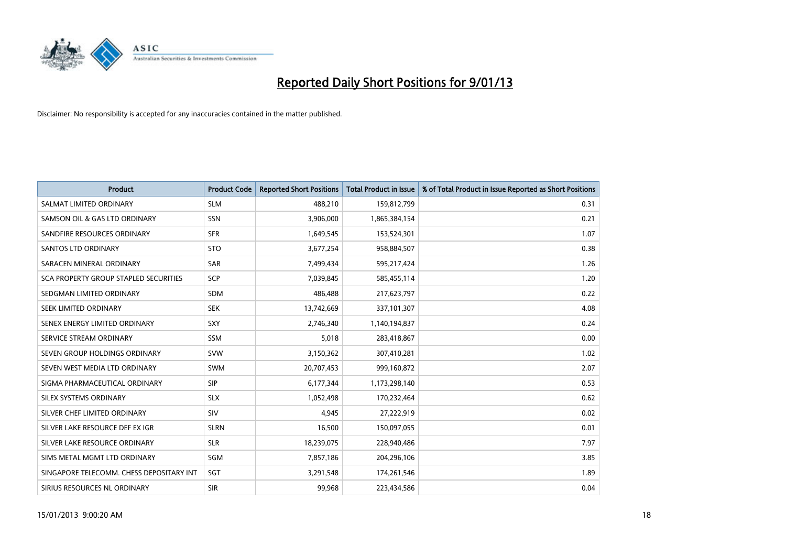

| <b>Product</b>                           | <b>Product Code</b> | <b>Reported Short Positions</b> | <b>Total Product in Issue</b> | % of Total Product in Issue Reported as Short Positions |
|------------------------------------------|---------------------|---------------------------------|-------------------------------|---------------------------------------------------------|
| SALMAT LIMITED ORDINARY                  | <b>SLM</b>          | 488,210                         | 159,812,799                   | 0.31                                                    |
| SAMSON OIL & GAS LTD ORDINARY            | SSN                 | 3,906,000                       | 1,865,384,154                 | 0.21                                                    |
| SANDFIRE RESOURCES ORDINARY              | <b>SFR</b>          | 1,649,545                       | 153,524,301                   | 1.07                                                    |
| <b>SANTOS LTD ORDINARY</b>               | <b>STO</b>          | 3,677,254                       | 958,884,507                   | 0.38                                                    |
| SARACEN MINERAL ORDINARY                 | SAR                 | 7,499,434                       | 595,217,424                   | 1.26                                                    |
| SCA PROPERTY GROUP STAPLED SECURITIES    | <b>SCP</b>          | 7,039,845                       | 585,455,114                   | 1.20                                                    |
| SEDGMAN LIMITED ORDINARY                 | <b>SDM</b>          | 486,488                         | 217,623,797                   | 0.22                                                    |
| SEEK LIMITED ORDINARY                    | <b>SEK</b>          | 13,742,669                      | 337,101,307                   | 4.08                                                    |
| SENEX ENERGY LIMITED ORDINARY            | <b>SXY</b>          | 2,746,340                       | 1,140,194,837                 | 0.24                                                    |
| SERVICE STREAM ORDINARY                  | <b>SSM</b>          | 5,018                           | 283,418,867                   | 0.00                                                    |
| SEVEN GROUP HOLDINGS ORDINARY            | <b>SVW</b>          | 3,150,362                       | 307,410,281                   | 1.02                                                    |
| SEVEN WEST MEDIA LTD ORDINARY            | SWM                 | 20,707,453                      | 999,160,872                   | 2.07                                                    |
| SIGMA PHARMACEUTICAL ORDINARY            | <b>SIP</b>          | 6,177,344                       | 1,173,298,140                 | 0.53                                                    |
| SILEX SYSTEMS ORDINARY                   | <b>SLX</b>          | 1,052,498                       | 170,232,464                   | 0.62                                                    |
| SILVER CHEF LIMITED ORDINARY             | <b>SIV</b>          | 4,945                           | 27,222,919                    | 0.02                                                    |
| SILVER LAKE RESOURCE DEF EX IGR          | <b>SLRN</b>         | 16,500                          | 150,097,055                   | 0.01                                                    |
| SILVER LAKE RESOURCE ORDINARY            | <b>SLR</b>          | 18,239,075                      | 228,940,486                   | 7.97                                                    |
| SIMS METAL MGMT LTD ORDINARY             | <b>SGM</b>          | 7,857,186                       | 204,296,106                   | 3.85                                                    |
| SINGAPORE TELECOMM. CHESS DEPOSITARY INT | SGT                 | 3,291,548                       | 174,261,546                   | 1.89                                                    |
| SIRIUS RESOURCES NL ORDINARY             | <b>SIR</b>          | 99,968                          | 223,434,586                   | 0.04                                                    |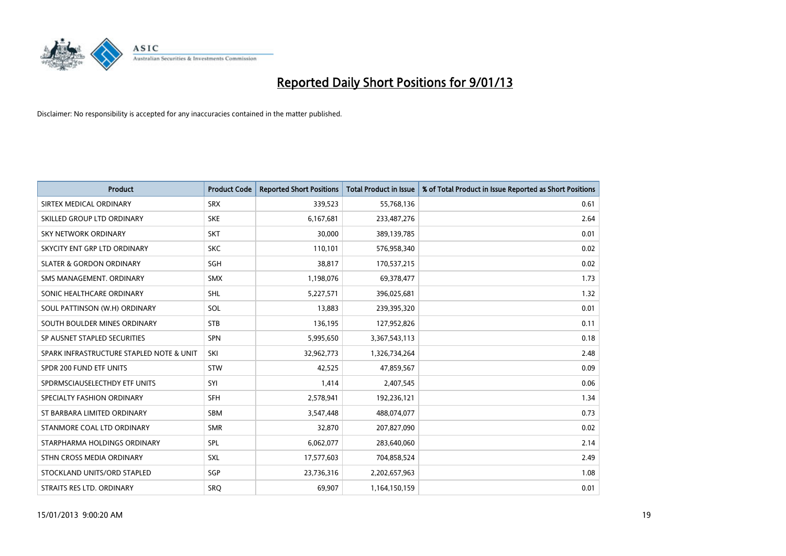

| Product                                  | <b>Product Code</b> | <b>Reported Short Positions</b> | <b>Total Product in Issue</b> | % of Total Product in Issue Reported as Short Positions |
|------------------------------------------|---------------------|---------------------------------|-------------------------------|---------------------------------------------------------|
| SIRTEX MEDICAL ORDINARY                  | <b>SRX</b>          | 339,523                         | 55,768,136                    | 0.61                                                    |
| SKILLED GROUP LTD ORDINARY               | <b>SKE</b>          | 6,167,681                       | 233,487,276                   | 2.64                                                    |
| <b>SKY NETWORK ORDINARY</b>              | <b>SKT</b>          | 30,000                          | 389,139,785                   | 0.01                                                    |
| SKYCITY ENT GRP LTD ORDINARY             | <b>SKC</b>          | 110,101                         | 576,958,340                   | 0.02                                                    |
| <b>SLATER &amp; GORDON ORDINARY</b>      | SGH                 | 38,817                          | 170,537,215                   | 0.02                                                    |
| SMS MANAGEMENT, ORDINARY                 | <b>SMX</b>          | 1,198,076                       | 69,378,477                    | 1.73                                                    |
| SONIC HEALTHCARE ORDINARY                | <b>SHL</b>          | 5,227,571                       | 396,025,681                   | 1.32                                                    |
| SOUL PATTINSON (W.H) ORDINARY            | SOL                 | 13,883                          | 239,395,320                   | 0.01                                                    |
| SOUTH BOULDER MINES ORDINARY             | <b>STB</b>          | 136,195                         | 127,952,826                   | 0.11                                                    |
| SP AUSNET STAPLED SECURITIES             | <b>SPN</b>          | 5,995,650                       | 3,367,543,113                 | 0.18                                                    |
| SPARK INFRASTRUCTURE STAPLED NOTE & UNIT | SKI                 | 32,962,773                      | 1,326,734,264                 | 2.48                                                    |
| SPDR 200 FUND ETF UNITS                  | <b>STW</b>          | 42,525                          | 47,859,567                    | 0.09                                                    |
| SPDRMSCIAUSELECTHDY ETF UNITS            | SYI                 | 1,414                           | 2,407,545                     | 0.06                                                    |
| SPECIALTY FASHION ORDINARY               | SFH                 | 2,578,941                       | 192,236,121                   | 1.34                                                    |
| ST BARBARA LIMITED ORDINARY              | <b>SBM</b>          | 3,547,448                       | 488,074,077                   | 0.73                                                    |
| STANMORE COAL LTD ORDINARY               | <b>SMR</b>          | 32,870                          | 207,827,090                   | 0.02                                                    |
| STARPHARMA HOLDINGS ORDINARY             | SPL                 | 6,062,077                       | 283,640,060                   | 2.14                                                    |
| STHN CROSS MEDIA ORDINARY                | <b>SXL</b>          | 17,577,603                      | 704,858,524                   | 2.49                                                    |
| STOCKLAND UNITS/ORD STAPLED              | SGP                 | 23,736,316                      | 2,202,657,963                 | 1.08                                                    |
| STRAITS RES LTD. ORDINARY                | SRO                 | 69,907                          | 1,164,150,159                 | 0.01                                                    |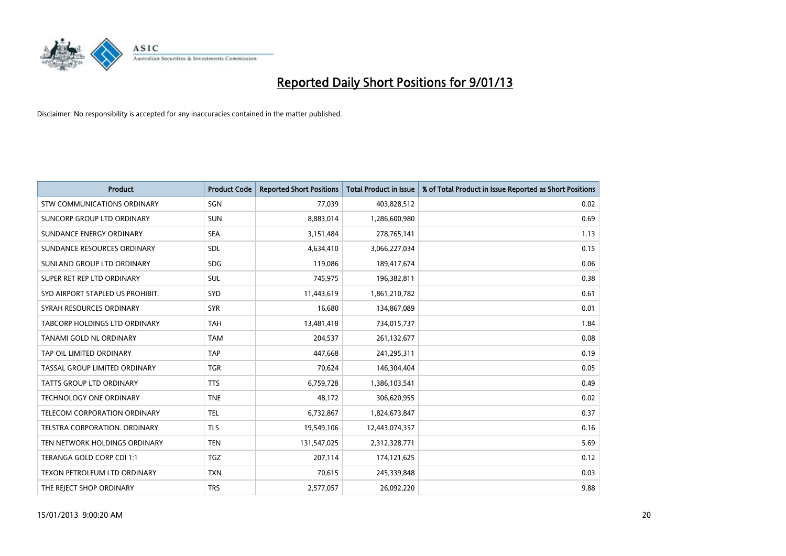

| <b>Product</b>                   | <b>Product Code</b> | <b>Reported Short Positions</b> | <b>Total Product in Issue</b> | % of Total Product in Issue Reported as Short Positions |
|----------------------------------|---------------------|---------------------------------|-------------------------------|---------------------------------------------------------|
| STW COMMUNICATIONS ORDINARY      | SGN                 | 77,039                          | 403,828,512                   | 0.02                                                    |
| SUNCORP GROUP LTD ORDINARY       | <b>SUN</b>          | 8,883,014                       | 1,286,600,980                 | 0.69                                                    |
| SUNDANCE ENERGY ORDINARY         | <b>SEA</b>          | 3,151,484                       | 278,765,141                   | 1.13                                                    |
| SUNDANCE RESOURCES ORDINARY      | <b>SDL</b>          | 4,634,410                       | 3,066,227,034                 | 0.15                                                    |
| SUNLAND GROUP LTD ORDINARY       | <b>SDG</b>          | 119,086                         | 189,417,674                   | 0.06                                                    |
| SUPER RET REP LTD ORDINARY       | <b>SUL</b>          | 745,975                         | 196,382,811                   | 0.38                                                    |
| SYD AIRPORT STAPLED US PROHIBIT. | SYD                 | 11,443,619                      | 1,861,210,782                 | 0.61                                                    |
| SYRAH RESOURCES ORDINARY         | <b>SYR</b>          | 16,680                          | 134,867,089                   | 0.01                                                    |
| TABCORP HOLDINGS LTD ORDINARY    | <b>TAH</b>          | 13,481,418                      | 734,015,737                   | 1.84                                                    |
| TANAMI GOLD NL ORDINARY          | <b>TAM</b>          | 204,537                         | 261,132,677                   | 0.08                                                    |
| TAP OIL LIMITED ORDINARY         | <b>TAP</b>          | 447,668                         | 241,295,311                   | 0.19                                                    |
| TASSAL GROUP LIMITED ORDINARY    | <b>TGR</b>          | 70,624                          | 146,304,404                   | 0.05                                                    |
| TATTS GROUP LTD ORDINARY         | <b>TTS</b>          | 6,759,728                       | 1,386,103,541                 | 0.49                                                    |
| <b>TECHNOLOGY ONE ORDINARY</b>   | <b>TNE</b>          | 48,172                          | 306,620,955                   | 0.02                                                    |
| TELECOM CORPORATION ORDINARY     | <b>TEL</b>          | 6,732,867                       | 1,824,673,847                 | 0.37                                                    |
| TELSTRA CORPORATION. ORDINARY    | <b>TLS</b>          | 19,549,106                      | 12,443,074,357                | 0.16                                                    |
| TEN NETWORK HOLDINGS ORDINARY    | <b>TEN</b>          | 131,547,025                     | 2,312,328,771                 | 5.69                                                    |
| TERANGA GOLD CORP CDI 1:1        | <b>TGZ</b>          | 207,114                         | 174,121,625                   | 0.12                                                    |
| TEXON PETROLEUM LTD ORDINARY     | <b>TXN</b>          | 70,615                          | 245,339,848                   | 0.03                                                    |
| THE REJECT SHOP ORDINARY         | <b>TRS</b>          | 2,577,057                       | 26,092,220                    | 9.88                                                    |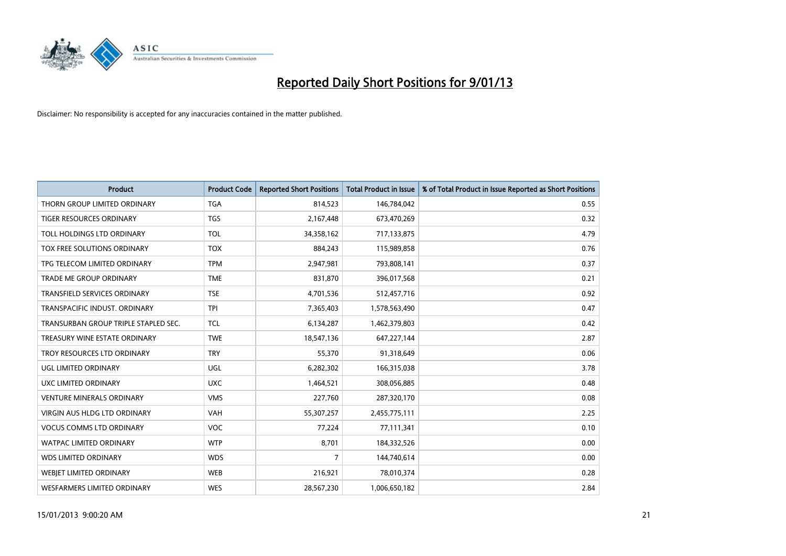

| <b>Product</b>                       | <b>Product Code</b> | <b>Reported Short Positions</b> | Total Product in Issue | % of Total Product in Issue Reported as Short Positions |
|--------------------------------------|---------------------|---------------------------------|------------------------|---------------------------------------------------------|
| THORN GROUP LIMITED ORDINARY         | <b>TGA</b>          | 814,523                         | 146,784,042            | 0.55                                                    |
| TIGER RESOURCES ORDINARY             | TGS                 | 2,167,448                       | 673,470,269            | 0.32                                                    |
| TOLL HOLDINGS LTD ORDINARY           | <b>TOL</b>          | 34,358,162                      | 717,133,875            | 4.79                                                    |
| TOX FREE SOLUTIONS ORDINARY          | <b>TOX</b>          | 884,243                         | 115,989,858            | 0.76                                                    |
| TPG TELECOM LIMITED ORDINARY         | <b>TPM</b>          | 2,947,981                       | 793,808,141            | 0.37                                                    |
| <b>TRADE ME GROUP ORDINARY</b>       | <b>TME</b>          | 831,870                         | 396,017,568            | 0.21                                                    |
| <b>TRANSFIELD SERVICES ORDINARY</b>  | <b>TSE</b>          | 4,701,536                       | 512,457,716            | 0.92                                                    |
| TRANSPACIFIC INDUST, ORDINARY        | <b>TPI</b>          | 7,365,403                       | 1,578,563,490          | 0.47                                                    |
| TRANSURBAN GROUP TRIPLE STAPLED SEC. | <b>TCL</b>          | 6,134,287                       | 1,462,379,803          | 0.42                                                    |
| TREASURY WINE ESTATE ORDINARY        | <b>TWE</b>          | 18,547,136                      | 647,227,144            | 2.87                                                    |
| TROY RESOURCES LTD ORDINARY          | <b>TRY</b>          | 55,370                          | 91,318,649             | 0.06                                                    |
| <b>UGL LIMITED ORDINARY</b>          | UGL                 | 6,282,302                       | 166,315,038            | 3.78                                                    |
| UXC LIMITED ORDINARY                 | <b>UXC</b>          | 1,464,521                       | 308,056,885            | 0.48                                                    |
| <b>VENTURE MINERALS ORDINARY</b>     | <b>VMS</b>          | 227,760                         | 287,320,170            | 0.08                                                    |
| <b>VIRGIN AUS HLDG LTD ORDINARY</b>  | <b>VAH</b>          | 55,307,257                      | 2,455,775,111          | 2.25                                                    |
| <b>VOCUS COMMS LTD ORDINARY</b>      | VOC                 | 77,224                          | 77,111,341             | 0.10                                                    |
| <b>WATPAC LIMITED ORDINARY</b>       | <b>WTP</b>          | 8,701                           | 184,332,526            | 0.00                                                    |
| <b>WDS LIMITED ORDINARY</b>          | <b>WDS</b>          | 7                               | 144,740,614            | 0.00                                                    |
| <b>WEBIET LIMITED ORDINARY</b>       | <b>WEB</b>          | 216,921                         | 78,010,374             | 0.28                                                    |
| <b>WESFARMERS LIMITED ORDINARY</b>   | <b>WES</b>          | 28,567,230                      | 1,006,650,182          | 2.84                                                    |